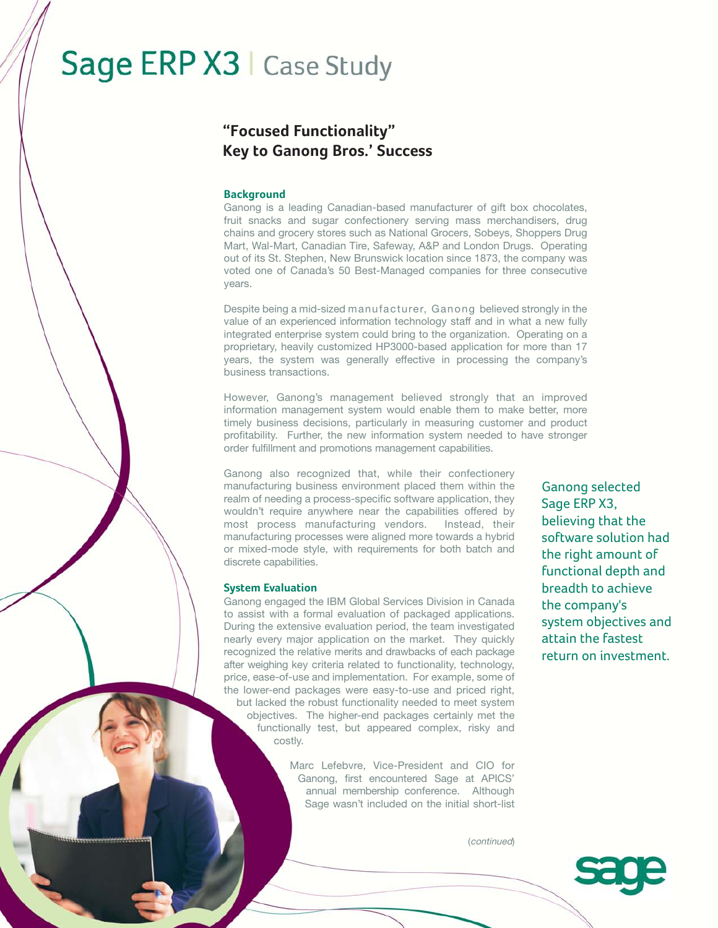# Sage ERP X3 | Case Study

# **"Focused Functionality" Key to Ganong Bros.' Success**

### **Background**

Ganong is a leading Canadian-based manufacturer of gift box chocolates, fruit snacks and sugar confectionery serving mass merchandisers, drug chains and grocery stores such as National Grocers, Sobeys, Shoppers Drug Mart, Wal-Mart, Canadian Tire, Safeway, A&P and London Drugs. Operating out of its St. Stephen, New Brunswick location since 1873, the company was voted one of Canada's 50 Best-Managed companies for three consecutive years.

Despite being a mid-sized manufacturer, Ganong believed strongly in the value of an experienced information technology staff and in what a new fully integrated enterprise system could bring to the organization. Operating on a proprietary, heavily customized HP3000-based application for more than 17 years, the system was generally effective in processing the company's business transactions.

However, Ganong's management believed strongly that an improved information management system would enable them to make better, more timely business decisions, particularly in measuring customer and product profitability. Further, the new information system needed to have stronger order fulfillment and promotions management capabilities.

Ganong also recognized that, while their confectionery manufacturing business environment placed them within the realm of needing a process-specific software application, they wouldn't require anywhere near the capabilities offered by most process manufacturing vendors. Instead, their manufacturing processes were aligned more towards a hybrid or mixed-mode style, with requirements for both batch and discrete capabilities.

#### **System Evaluation**

Ganong engaged the IBM Global Services Division in Canada to assist with a formal evaluation of packaged applications. During the extensive evaluation period, the team investigated nearly every major application on the market. They quickly recognized the relative merits and drawbacks of each package after weighing key criteria related to functionality, technology, price, ease-of-use and implementation. For example, some of the lower-end packages were easy-to-use and priced right, but lacked the robust functionality needed to meet system objectives. The higher-end packages certainly met the functionally test, but appeared complex, risky and costly.

> Marc Lefebvre, Vice-President and CIO for Ganong, first encountered Sage at APICS' annual membership conference. Although Sage wasn't included on the initial short-list

Ganong selected Sage ERP X3, believing that the software solution had the right amount of functional depth and breadth to achieve the company's system objectives and attain the fastest return on investment.

(continued)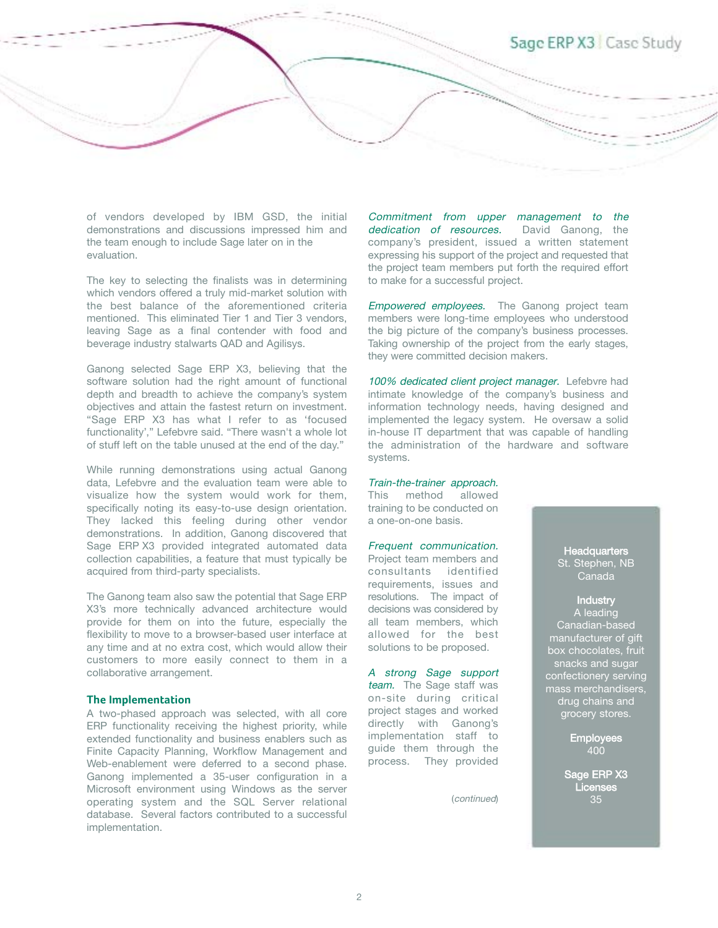# Sage ERP X3 Case Study

of vendors developed by IBM GSD, the initial demonstrations and discussions impressed him and the team enough to include Sage later on in the evaluation.

The key to selecting the finalists was in determining which vendors offered a truly mid-market solution with the best balance of the aforementioned criteria mentioned. This eliminated Tier 1 and Tier 3 vendors, leaving Sage as a final contender with food and beverage industry stalwarts QAD and Agilisys.

Ganong selected Sage ERP X3, believing that the software solution had the right amount of functional depth and breadth to achieve the company's system objectives and attain the fastest return on investment. "Sage ERP X3 has what I refer to as 'focused functionality'," Lefebvre said. "There wasn't a whole lot of stuff left on the table unused at the end of the day."

While running demonstrations using actual Ganong data, Lefebvre and the evaluation team were able to visualize how the system would work for them, specifically noting its easy-to-use design orientation. They lacked this feeling during other vendor demonstrations. In addition, Ganong discovered that Sage ERP X3 provided integrated automated data collection capabilities, a feature that must typically be acquired from third-party specialists.

The Ganong team also saw the potential that Sage ERP X3's more technically advanced architecture would provide for them on into the future, especially the flexibility to move to a browser-based user interface at any time and at no extra cost, which would allow their customers to more easily connect to them in a collaborative arrangement.

#### **The Implementation**

A two-phased approach was selected, with all core ERP functionality receiving the highest priority, while extended functionality and business enablers such as Finite Capacity Planning, Workflow Management and Web-enablement were deferred to a second phase. Ganong implemented a 35-user configuration in a Microsoft environment using Windows as the server operating system and the SQL Server relational database. Several factors contributed to a successful implementation.

Commitment from upper management to the dedication of resources. David Ganong, the company's president, issued a written statement expressing his support of the project and requested that the project team members put forth the required effort to make for a successful project.

**Empowered employees.** The Ganong project team members were long-time employees who understood the big picture of the company's business processes. Taking ownership of the project from the early stages, they were committed decision makers.

100% dedicated client project manager. Lefebvre had intimate knowledge of the company's business and information technology needs, having designed and implemented the legacy system. He oversaw a solid in-house IT department that was capable of handling the administration of the hardware and software systems.

#### Train-the-trainer approach.

This method allowed training to be conducted on a one-on-one basis.

## Frequent communication.

Project team members and consultants identified requirements, issues and resolutions. The impact of decisions was considered by all team members, which allowed for the best solutions to be proposed.

A strong Sage support team. The Sage staff was on-site during critical project stages and worked directly with Ganong's implementation staff to guide them through the process. They provided

(continued)

**Headquarters** St. Stephen, NB Canada

# **Industry** A leading

Canadian-based manufacturer of gift box chocolates, fruit snacks and sugar confectionery serving mass merchandisers, drug chains and grocery stores.

> Employees 400

Sage ERP X3 Licenses 35